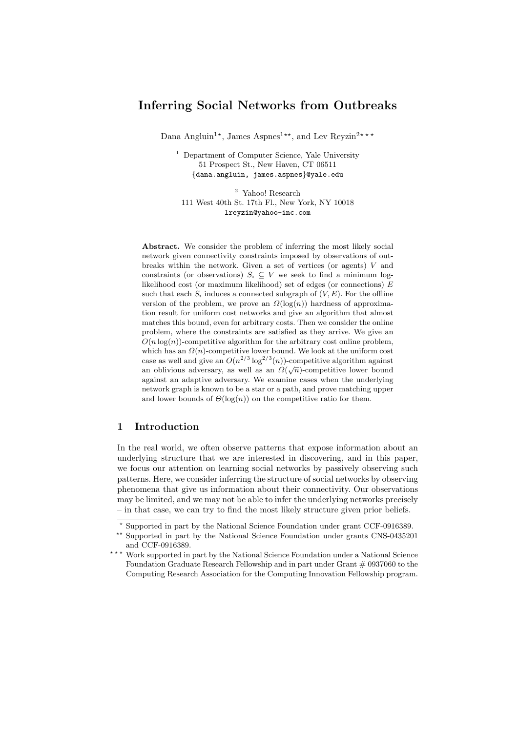# Inferring Social Networks from Outbreaks

Dana Angluin<sup>1</sup><sup>\*</sup>, James Aspnes<sup>1\*\*</sup>, and Lev Reyzin<sup>2\*\*\*</sup>

<sup>1</sup> Department of Computer Science, Yale University 51 Prospect St., New Haven, CT 06511 {dana.angluin, james.aspnes}@yale.edu

<sup>2</sup> Yahoo! Research 111 West 40th St. 17th Fl., New York, NY 10018 lreyzin@yahoo-inc.com

Abstract. We consider the problem of inferring the most likely social network given connectivity constraints imposed by observations of outbreaks within the network. Given a set of vertices (or agents) V and constraints (or observations)  $S_i \subseteq V$  we seek to find a minimum loglikelihood cost (or maximum likelihood) set of edges (or connections)  $E$ such that each  $S_i$  induces a connected subgraph of  $(V, E)$ . For the offline version of the problem, we prove an  $\Omega(\log(n))$  hardness of approximation result for uniform cost networks and give an algorithm that almost matches this bound, even for arbitrary costs. Then we consider the online problem, where the constraints are satisfied as they arrive. We give an  $O(n \log(n))$ -competitive algorithm for the arbitrary cost online problem, which has an  $\Omega(n)$ -competitive lower bound. We look at the uniform cost case as well and give an  $O(n^{2/3} \log^{2/3}(n))$ -competitive algorithm against an oblivious adversary, as well as an  $\Omega(\sqrt{n})$ -competitive lower bound against an adaptive adversary. We examine cases when the underlying network graph is known to be a star or a path, and prove matching upper and lower bounds of  $\Theta(\log(n))$  on the competitive ratio for them.

# 1 Introduction

In the real world, we often observe patterns that expose information about an underlying structure that we are interested in discovering, and in this paper, we focus our attention on learning social networks by passively observing such patterns. Here, we consider inferring the structure of social networks by observing phenomena that give us information about their connectivity. Our observations may be limited, and we may not be able to infer the underlying networks precisely – in that case, we can try to find the most likely structure given prior beliefs.

<sup>?</sup> Supported in part by the National Science Foundation under grant CCF-0916389.

<sup>\*\*</sup> Supported in part by the National Science Foundation under grants CNS-0435201 and CCF-0916389.

<sup>\*\*\*</sup> Work supported in part by the National Science Foundation under a National Science Foundation Graduate Research Fellowship and in part under Grant # 0937060 to the Computing Research Association for the Computing Innovation Fellowship program.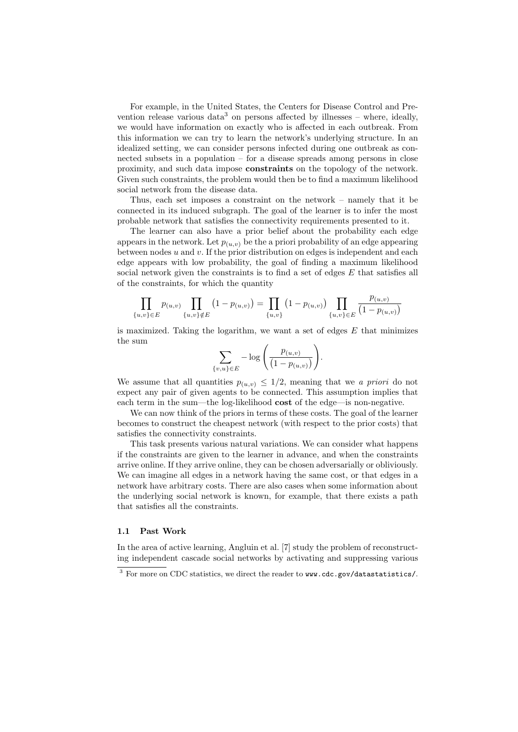For example, in the United States, the Centers for Disease Control and Prevention release various data<sup>3</sup> on persons affected by illnesses – where, ideally, we would have information on exactly who is affected in each outbreak. From this information we can try to learn the network's underlying structure. In an idealized setting, we can consider persons infected during one outbreak as connected subsets in a population – for a disease spreads among persons in close proximity, and such data impose constraints on the topology of the network. Given such constraints, the problem would then be to find a maximum likelihood social network from the disease data.

Thus, each set imposes a constraint on the network – namely that it be connected in its induced subgraph. The goal of the learner is to infer the most probable network that satisfies the connectivity requirements presented to it.

The learner can also have a prior belief about the probability each edge appears in the network. Let  $p_{(u,v)}$  be the a priori probability of an edge appearing between nodes  $u$  and  $v$ . If the prior distribution on edges is independent and each edge appears with low probability, the goal of finding a maximum likelihood social network given the constraints is to find a set of edges  $E$  that satisfies all of the constraints, for which the quantity

$$
\prod_{\{u,v\}\in E} p_{(u,v)} \prod_{\{u,v\}\notin E} (1-p_{(u,v)}) = \prod_{\{u,v\}} (1-p_{(u,v)}) \prod_{\{u,v\}\in E} \frac{p_{(u,v)}}{(1-p_{(u,v)})}
$$

is maximized. Taking the logarithm, we want a set of edges  $E$  that minimizes the sum

$$
\sum_{\{v,u\}\in E} -\log\left(\frac{p_{(u,v)}}{(1-p_{(u,v)})}\right).
$$

We assume that all quantities  $p_{(u,v)} \leq 1/2$ , meaning that we a priori do not expect any pair of given agents to be connected. This assumption implies that each term in the sum—the log-likelihood cost of the edge—is non-negative.

We can now think of the priors in terms of these costs. The goal of the learner becomes to construct the cheapest network (with respect to the prior costs) that satisfies the connectivity constraints.

This task presents various natural variations. We can consider what happens if the constraints are given to the learner in advance, and when the constraints arrive online. If they arrive online, they can be chosen adversarially or obliviously. We can imagine all edges in a network having the same cost, or that edges in a network have arbitrary costs. There are also cases when some information about the underlying social network is known, for example, that there exists a path that satisfies all the constraints.

#### 1.1 Past Work

In the area of active learning, Angluin et al. [7] study the problem of reconstructing independent cascade social networks by activating and suppressing various

 $3$  For more on CDC statistics, we direct the reader to www.cdc.gov/datastatistics/.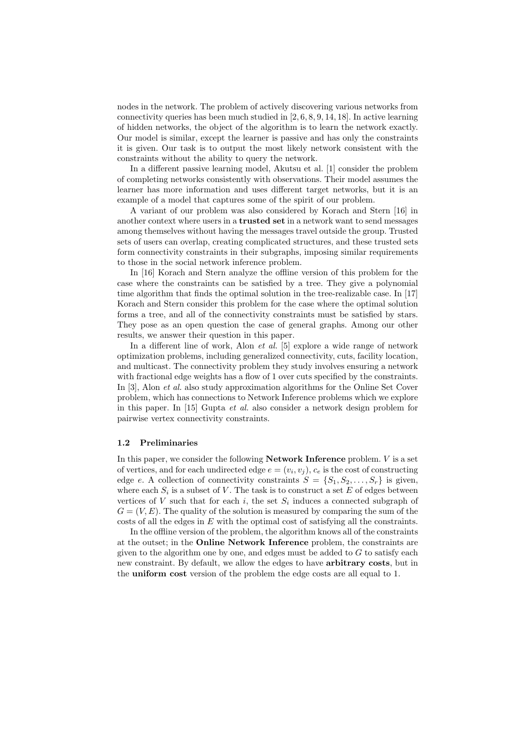nodes in the network. The problem of actively discovering various networks from connectivity queries has been much studied in  $[2, 6, 8, 9, 14, 18]$ . In active learning of hidden networks, the object of the algorithm is to learn the network exactly. Our model is similar, except the learner is passive and has only the constraints it is given. Our task is to output the most likely network consistent with the constraints without the ability to query the network.

In a different passive learning model, Akutsu et al. [1] consider the problem of completing networks consistently with observations. Their model assumes the learner has more information and uses different target networks, but it is an example of a model that captures some of the spirit of our problem.

A variant of our problem was also considered by Korach and Stern [16] in another context where users in a trusted set in a network want to send messages among themselves without having the messages travel outside the group. Trusted sets of users can overlap, creating complicated structures, and these trusted sets form connectivity constraints in their subgraphs, imposing similar requirements to those in the social network inference problem.

In [16] Korach and Stern analyze the offline version of this problem for the case where the constraints can be satisfied by a tree. They give a polynomial time algorithm that finds the optimal solution in the tree-realizable case. In [17] Korach and Stern consider this problem for the case where the optimal solution forms a tree, and all of the connectivity constraints must be satisfied by stars. They pose as an open question the case of general graphs. Among our other results, we answer their question in this paper.

In a different line of work, Alon et al. [5] explore a wide range of network optimization problems, including generalized connectivity, cuts, facility location, and multicast. The connectivity problem they study involves ensuring a network with fractional edge weights has a flow of 1 over cuts specified by the constraints. In [3], Alon et al. also study approximation algorithms for the Online Set Cover problem, which has connections to Network Inference problems which we explore in this paper. In [15] Gupta et al. also consider a network design problem for pairwise vertex connectivity constraints.

#### 1.2 Preliminaries

In this paper, we consider the following **Network Inference** problem.  $V$  is a set of vertices, and for each undirected edge  $e = (v_i, v_j)$ ,  $c_e$  is the cost of constructing edge e. A collection of connectivity constraints  $S = \{S_1, S_2, \ldots, S_r\}$  is given, where each  $S_i$  is a subset of V. The task is to construct a set E of edges between vertices of V such that for each i, the set  $S_i$  induces a connected subgraph of  $G = (V, E)$ . The quality of the solution is measured by comparing the sum of the  $\cos$  costs of all the edges in E with the optimal cost of satisfying all the constraints.

In the offline version of the problem, the algorithm knows all of the constraints at the outset; in the Online Network Inference problem, the constraints are given to the algorithm one by one, and edges must be added to  $G$  to satisfy each new constraint. By default, we allow the edges to have arbitrary costs, but in the uniform cost version of the problem the edge costs are all equal to 1.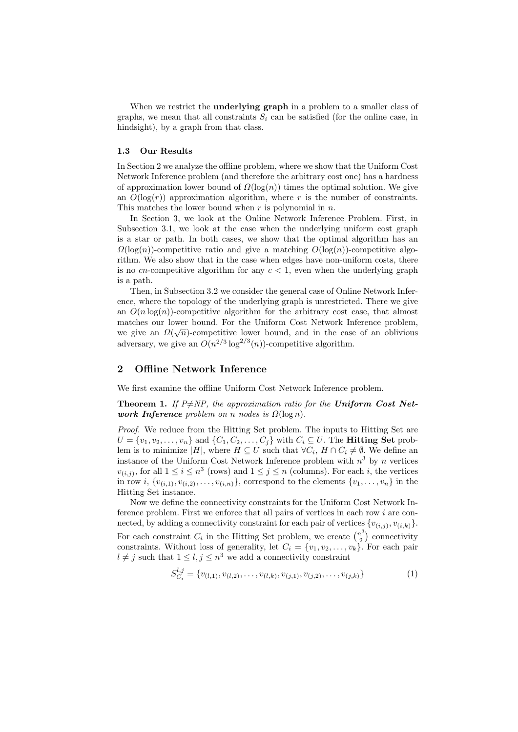When we restrict the **underlying graph** in a problem to a smaller class of graphs, we mean that all constraints  $S_i$  can be satisfied (for the online case, in hindsight), by a graph from that class.

#### 1.3 Our Results

In Section 2 we analyze the offline problem, where we show that the Uniform Cost Network Inference problem (and therefore the arbitrary cost one) has a hardness of approximation lower bound of  $\Omega(\log(n))$  times the optimal solution. We give an  $O(\log(r))$  approximation algorithm, where r is the number of constraints. This matches the lower bound when  $r$  is polynomial in  $n$ .

In Section 3, we look at the Online Network Inference Problem. First, in Subsection 3.1, we look at the case when the underlying uniform cost graph is a star or path. In both cases, we show that the optimal algorithm has an  $\Omega(\log(n))$ -competitive ratio and give a matching  $O(\log(n))$ -competitive algorithm. We also show that in the case when edges have non-uniform costs, there is no cn-competitive algorithm for any  $c < 1$ , even when the underlying graph is a path.

Then, in Subsection 3.2 we consider the general case of Online Network Inference, where the topology of the underlying graph is unrestricted. There we give an  $O(n \log(n))$ -competitive algorithm for the arbitrary cost case, that almost matches our lower bound. For the Uniform Cost Network Inference problem, we give an  $\Omega(\sqrt{n})$ -competitive lower bound, and in the case of an oblivious adversary, we give an  $O(n^{2/3} \log^{2/3}(n))$ -competitive algorithm.

# 2 Offline Network Inference

We first examine the offline Uniform Cost Network Inference problem.

**Theorem 1.** If  $P \neq NP$ , the approximation ratio for the Uniform Cost Network Inference problem on n nodes is  $\Omega(\log n)$ .

Proof. We reduce from the Hitting Set problem. The inputs to Hitting Set are  $U = \{v_1, v_2, \ldots, v_n\}$  and  $\{C_1, C_2, \ldots, C_j\}$  with  $C_i \subseteq U$ . The **Hitting Set** problem is to minimize |H|, where  $H \subseteq U$  such that  $\forall C_i$ ,  $H \cap C_i \neq \emptyset$ . We define an instance of the Uniform Cost Network Inference problem with  $n^3$  by n vertices  $v_{(i,j)}$ , for all  $1 \leq i \leq n^3$  (rows) and  $1 \leq j \leq n$  (columns). For each i, the vertices in row i,  $\{v_{(i,1)}, v_{(i,2)}, \ldots, v_{(i,n)}\}$ , correspond to the elements  $\{v_1, \ldots, v_n\}$  in the Hitting Set instance.

Now we define the connectivity constraints for the Uniform Cost Network Inference problem. First we enforce that all pairs of vertices in each row i are connected, by adding a connectivity constraint for each pair of vertices  $\{v_{(i,j)}, v_{(i,k)}\}.$ For each constraint  $C_i$  in the Hitting Set problem, we create  $\binom{n^3}{2}$  $i_2^{\nu}$  connectivity constraints. Without loss of generality, let  $C_i = \{v_1, v_2, \ldots, v_k\}$ . For each pair  $l \neq j$  such that  $1 \leq l, j \leq n^3$  we add a connectivity constraint

$$
S_{C_i}^{l,j} = \{v_{(l,1)}, v_{(l,2)}, \dots, v_{(l,k)}, v_{(j,1)}, v_{(j,2)}, \dots, v_{(j,k)}\}
$$
(1)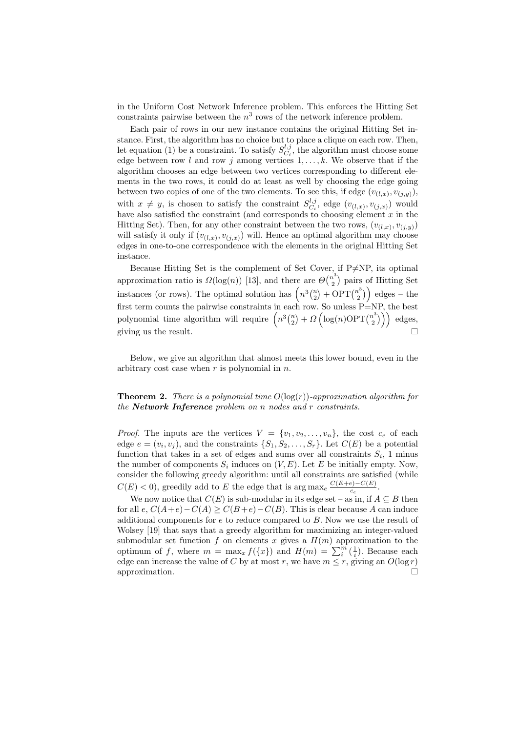in the Uniform Cost Network Inference problem. This enforces the Hitting Set constraints pairwise between the  $n^3$  rows of the network inference problem.

Each pair of rows in our new instance contains the original Hitting Set instance. First, the algorithm has no choice but to place a clique on each row. Then, let equation (1) be a constraint. To satisfy  $S_{C_i}^{l,j}$ , the algorithm must choose some edge between row l and row j among vertices  $1, \ldots, k$ . We observe that if the algorithm chooses an edge between two vertices corresponding to different elements in the two rows, it could do at least as well by choosing the edge going between two copies of one of the two elements. To see this, if edge  $(v_{(l,x)}, v_{(j,y)}),$ with  $x \neq y$ , is chosen to satisfy the constraint  $S_{C_i}^{l,j}$ , edge  $(v_{(l,x)}, v_{(j,x)})$  would have also satisfied the constraint (and corresponds to choosing element  $x$  in the Hitting Set). Then, for any other constraint between the two rows,  $(v_{(l,x)}, v_{(j,y)})$ will satisfy it only if  $(v_{(l,x)}, v_{(j,x)})$  will. Hence an optimal algorithm may choose edges in one-to-one correspondence with the elements in the original Hitting Set instance.

Because Hitting Set is the complement of Set Cover, if  $P\neq NP$ , its optimal approximation ratio is  $\Omega(\log(n))$  [13], and there are  $\Theta(n^3)$  $\binom{n^2}{2}$  pairs of Hitting Set instances (or rows). The optimal solution has  $\left(n^3\binom{n}{2} + \text{OPT}\binom{n^3}{2}\right)$  $\binom{n^3}{2}$  edges – the first term counts the pairwise constraints in each row. So unless  $\overrightarrow{P=NP}$ , the best polynomial time algorithm will require  $\left(n^3\binom{n}{2} + \Omega\left(\log(n)\text{OPT}\binom{n^3}{2}\right)\right)$  $\binom{n^3}{2}$ ) edges, giving us the result.  $\Box$ 

Below, we give an algorithm that almost meets this lower bound, even in the arbitrary cost case when  $r$  is polynomial in  $n$ .

## **Theorem 2.** There is a polynomial time  $O(log(r))$ -approximation algorithm for the Network Inference problem on n nodes and r constraints.

*Proof.* The inputs are the vertices  $V = \{v_1, v_2, \ldots, v_n\}$ , the cost  $c_e$  of each edge  $e = (v_i, v_j)$ , and the constraints  $\{S_1, S_2, \ldots, S_r\}$ . Let  $C(E)$  be a potential function that takes in a set of edges and sums over all constraints  $S_i$ , 1 minus the number of components  $S_i$  induces on  $(V, E)$ . Let E be initially empty. Now, consider the following greedy algorithm: until all constraints are satisfied (while  $C(E) < 0$ , greedily add to E the edge that is arg max<sub>e</sub>  $\frac{C(E+e)-C(E)}{c_e}$  $rac{e(-C-E)}{c_e}$ .

We now notice that  $C(E)$  is sub-modular in its edge set – as in, if  $A \subseteq B$  then for all e,  $C(A+e)-C(A) \geq C(B+e)-C(B)$ . This is clear because A can induce additional components for e to reduce compared to B. Now we use the result of Wolsey [19] that says that a greedy algorithm for maximizing an integer-valued submodular set function f on elements x gives a  $H(m)$  approximation to the optimum of f, where  $m = \max_x f({x})$  and  $H(m) = \sum_i^m \left(\frac{1}{i}\right)$ . Because each edge can increase the value of C by at most r, we have  $m \leq r$ , giving an  $O(\log r)$ approximation.  $\Box$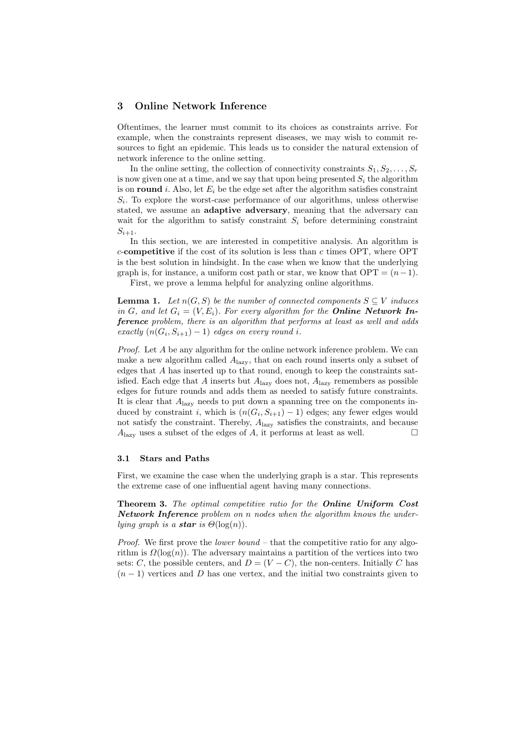## 3 Online Network Inference

Oftentimes, the learner must commit to its choices as constraints arrive. For example, when the constraints represent diseases, we may wish to commit resources to fight an epidemic. This leads us to consider the natural extension of network inference to the online setting.

In the online setting, the collection of connectivity constraints  $S_1, S_2, \ldots, S_r$ is now given one at a time, and we say that upon being presented  $S_i$  the algorithm is on round i. Also, let  $E_i$  be the edge set after the algorithm satisfies constraint  $S_i$ . To explore the worst-case performance of our algorithms, unless otherwise stated, we assume an adaptive adversary, meaning that the adversary can wait for the algorithm to satisfy constraint  $S_i$  before determining constraint  $S_{i+1}.$ 

In this section, we are interested in competitive analysis. An algorithm is  $c$ -competitive if the cost of its solution is less than  $c$  times OPT, where OPT is the best solution in hindsight. In the case when we know that the underlying graph is, for instance, a uniform cost path or star, we know that  $\text{OPT} = (n-1)$ . First, we prove a lemma helpful for analyzing online algorithms.

**Lemma 1.** Let  $n(G, S)$  be the number of connected components  $S \subseteq V$  induces in G, and let  $G_i = (V, E_i)$ . For every algorithm for the **Online Network In**ference problem, there is an algorithm that performs at least as well and adds exactly  $(n(G_i, S_{i+1}) - 1)$  edges on every round i.

Proof. Let A be any algorithm for the online network inference problem. We can make a new algorithm called  $A_{\text{lazy}}$ , that on each round inserts only a subset of edges that A has inserted up to that round, enough to keep the constraints satisfied. Each edge that A inserts but  $A_{\text{lazy}}$  does not,  $A_{\text{lazy}}$  remembers as possible edges for future rounds and adds them as needed to satisfy future constraints. It is clear that  $A<sub>lazy</sub>$  needs to put down a spanning tree on the components induced by constraint *i*, which is  $(n(G_i, S_{i+1}) - 1)$  edges; any fewer edges would not satisfy the constraint. Thereby,  $A_{\text{lazy}}$  satisfies the constraints, and because  $A<sub>lazy</sub>$  uses a subset of the edges of A, it performs at least as well.  $\square$ 

#### 3.1 Stars and Paths

First, we examine the case when the underlying graph is a star. This represents the extreme case of one influential agent having many connections.

**Theorem 3.** The optimal competitive ratio for the **Online Uniform Cost** Network Inference problem on n nodes when the algorithm knows the underlying graph is a star is  $\Theta(\log(n))$ .

Proof. We first prove the *lower bound* – that the competitive ratio for any algorithm is  $\Omega(\log(n))$ . The adversary maintains a partition of the vertices into two sets: C, the possible centers, and  $D = (V - C)$ , the non-centers. Initially C has  $(n-1)$  vertices and D has one vertex, and the initial two constraints given to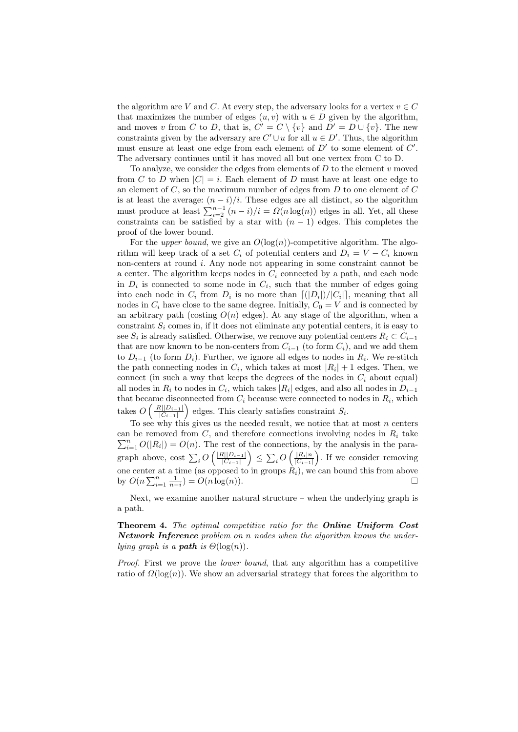the algorithm are V and C. At every step, the adversary looks for a vertex  $v \in C$ that maximizes the number of edges  $(u, v)$  with  $u \in D$  given by the algorithm, and moves v from C to D, that is,  $C' = C \setminus \{v\}$  and  $D' = D \cup \{v\}$ . The new constraints given by the adversary are  $C' \cup u$  for all  $u \in D'$ . Thus, the algorithm must ensure at least one edge from each element of  $D'$  to some element of  $C'$ . The adversary continues until it has moved all but one vertex from C to D.

To analyze, we consider the edges from elements of  $D$  to the element  $v$  moved from C to D when  $|C| = i$ . Each element of D must have at least one edge to an element of  $C$ , so the maximum number of edges from  $D$  to one element of  $C$ is at least the average:  $(n - i)/i$ . These edges are all distinct, so the algorithm must produce at least  $\sum_{i=2}^{n-1} (n-i)/i = \Omega(n \log(n))$  edges in all. Yet, all these constraints can be satisfied by a star with  $(n - 1)$  edges. This completes the proof of the lower bound.

For the upper bound, we give an  $O(\log(n))$ -competitive algorithm. The algorithm will keep track of a set  $C_i$  of potential centers and  $D_i = V - C_i$  known non-centers at round i. Any node not appearing in some constraint cannot be a center. The algorithm keeps nodes in  $C_i$  connected by a path, and each node in  $D_i$  is connected to some node in  $C_i$ , such that the number of edges going into each node in  $C_i$  from  $D_i$  is no more than  $\lceil (|D_i|)/|C_i| \rceil$ , meaning that all nodes in  $C_i$  have close to the same degree. Initially,  $C_0 = V$  and is connected by an arbitrary path (costing  $O(n)$  edges). At any stage of the algorithm, when a constraint  $S_i$  comes in, if it does not eliminate any potential centers, it is easy to see  $S_i$  is already satisfied. Otherwise, we remove any potential centers  $R_i \subset C_{i-1}$ that are now known to be non-centers from  $C_{i-1}$  (to form  $C_i$ ), and we add them to  $D_{i-1}$  (to form  $D_i$ ). Further, we ignore all edges to nodes in  $R_i$ . We re-stitch the path connecting nodes in  $C_i$ , which takes at most  $|R_i| + 1$  edges. Then, we connect (in such a way that keeps the degrees of the nodes in  $C_i$  about equal) all nodes in  $R_i$  to nodes in  $C_i$ , which takes  $|R_i|$  edges, and also all nodes in  $D_{i-1}$ that became disconnected from  $C_i$  because were connected to nodes in  $R_i$ , which takes  $O\left(\frac{|R||D_{i-1}|}{|C_{i-1}|}\right)$  $\frac{R||D_{i-1}|}{|C_{i-1}|}$  edges. This clearly satisfies constraint  $S_i$ .

To see why this gives us the needed result, we notice that at most  $n$  centers can be removed from  $C$ , and therefore connections involving nodes in  $R_i$  take  $\sum_{i=1}^{n} O(|R_i|) = O(n)$ . The rest of the connections, by the analysis in the paragraph above, cost  $\sum_i O\left(\frac{|R||D_{i-1}|}{|C_{i-1}|}\right)$  $\frac{|\mathcal{R}||D_{i-1}|}{|C_{i-1}|} \Big) \leq \sum_i O\left(\frac{|R_i|n}{|C_{i-1}|}\right)$  $\frac{|R_i|n}{|C_{i-1}|}$ . If we consider removing one center at a time (as opposed to in groups  $R_i$ ), we can bound this from above by  $O(n \sum_{i=1}^{n} \frac{1}{n-i}) = O(n \log(n)).$ 

Next, we examine another natural structure – when the underlying graph is a path.

Theorem 4. The optimal competitive ratio for the Online Uniform Cost Network Inference problem on n nodes when the algorithm knows the underlying graph is a **path** is  $\Theta(\log(n))$ .

Proof. First we prove the lower bound, that any algorithm has a competitive ratio of  $\Omega(\log(n))$ . We show an adversarial strategy that forces the algorithm to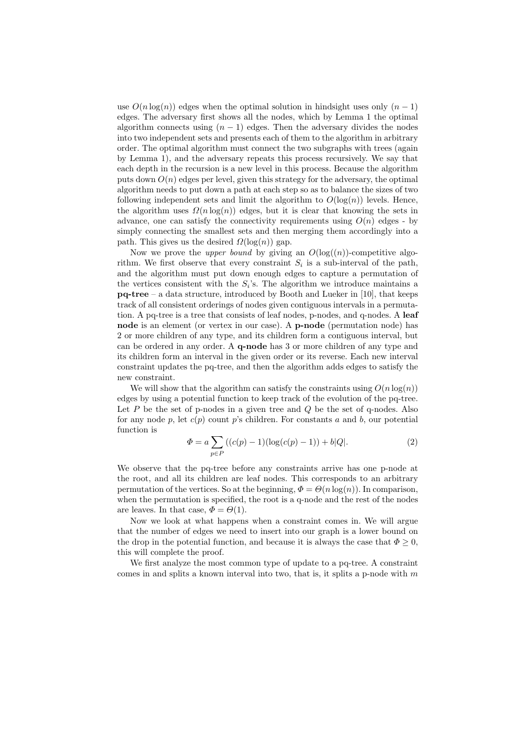use  $O(n \log(n))$  edges when the optimal solution in hindsight uses only  $(n - 1)$ edges. The adversary first shows all the nodes, which by Lemma 1 the optimal algorithm connects using  $(n - 1)$  edges. Then the adversary divides the nodes into two independent sets and presents each of them to the algorithm in arbitrary order. The optimal algorithm must connect the two subgraphs with trees (again by Lemma 1), and the adversary repeats this process recursively. We say that each depth in the recursion is a new level in this process. Because the algorithm puts down  $O(n)$  edges per level, given this strategy for the adversary, the optimal algorithm needs to put down a path at each step so as to balance the sizes of two following independent sets and limit the algorithm to  $O(\log(n))$  levels. Hence, the algorithm uses  $\Omega(n \log(n))$  edges, but it is clear that knowing the sets in advance, one can satisfy the connectivity requirements using  $O(n)$  edges - by simply connecting the smallest sets and then merging them accordingly into a path. This gives us the desired  $\Omega(\log(n))$  gap.

Now we prove the *upper bound* by giving an  $O(log((n))$ -competitive algorithm. We first observe that every constraint  $S_i$  is a sub-interval of the path, and the algorithm must put down enough edges to capture a permutation of the vertices consistent with the  $S_i$ 's. The algorithm we introduce maintains a  $pq-tree - a data structure, introduced by Booth and Lueker in [10], that keeps$ track of all consistent orderings of nodes given contiguous intervals in a permutation. A pq-tree is a tree that consists of leaf nodes, p-nodes, and q-nodes. A leaf node is an element (or vertex in our case). A **p-node** (permutation node) has 2 or more children of any type, and its children form a contiguous interval, but can be ordered in any order. A **q-node** has 3 or more children of any type and its children form an interval in the given order or its reverse. Each new interval constraint updates the pq-tree, and then the algorithm adds edges to satisfy the new constraint.

We will show that the algorithm can satisfy the constraints using  $O(n \log(n))$ edges by using a potential function to keep track of the evolution of the pq-tree. Let  $P$  be the set of p-nodes in a given tree and  $Q$  be the set of q-nodes. Also for any node p, let  $c(p)$  count p's children. For constants a and b, our potential function is

$$
\Phi = a \sum_{p \in P} \left( (c(p) - 1)(\log(c(p) - 1)) + b|Q| \right).
$$
 (2)

We observe that the pq-tree before any constraints arrive has one p-node at the root, and all its children are leaf nodes. This corresponds to an arbitrary permutation of the vertices. So at the beginning,  $\Phi = \Theta(n \log(n))$ . In comparison, when the permutation is specified, the root is a q-node and the rest of the nodes are leaves. In that case,  $\Phi = \Theta(1)$ .

Now we look at what happens when a constraint comes in. We will argue that the number of edges we need to insert into our graph is a lower bound on the drop in the potential function, and because it is always the case that  $\Phi \geq 0$ , this will complete the proof.

We first analyze the most common type of update to a pq-tree. A constraint comes in and splits a known interval into two, that is, it splits a p-node with  $m$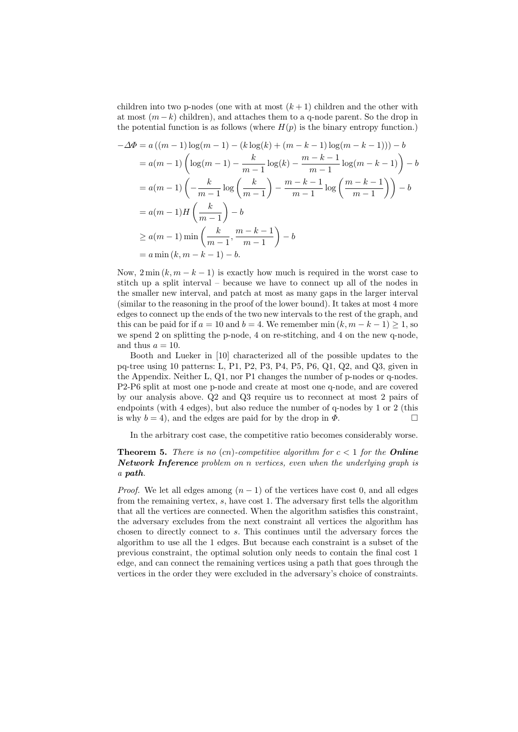children into two p-nodes (one with at most  $(k+1)$  children and the other with at most  $(m-k)$  children), and attaches them to a q-node parent. So the drop in the potential function is as follows (where  $H(p)$  is the binary entropy function.)

$$
-\Delta \Phi = a ((m-1) \log(m-1) - (k \log(k) + (m-k-1) \log(m-k-1))) - b
$$
  
=  $a(m-1) \left( \log(m-1) - \frac{k}{m-1} \log(k) - \frac{m-k-1}{m-1} \log(m-k-1) \right) - b$   
=  $a(m-1) \left( -\frac{k}{m-1} \log \left( \frac{k}{m-1} \right) - \frac{m-k-1}{m-1} \log \left( \frac{m-k-1}{m-1} \right) \right) - b$   
=  $a(m-1)H \left( \frac{k}{m-1} \right) - b$   
 $\ge a(m-1) \min \left( \frac{k}{m-1}, \frac{m-k-1}{m-1} \right) - b$   
=  $a \min (k, m-k-1) - b$ .

Now,  $2 \min (k, m - k - 1)$  is exactly how much is required in the worst case to stitch up a split interval – because we have to connect up all of the nodes in the smaller new interval, and patch at most as many gaps in the larger interval (similar to the reasoning in the proof of the lower bound). It takes at most 4 more edges to connect up the ends of the two new intervals to the rest of the graph, and this can be paid for if  $a = 10$  and  $b = 4$ . We remember min  $(k, m - k - 1) > 1$ , so we spend 2 on splitting the p-node, 4 on re-stitching, and 4 on the new q-node, and thus  $a = 10$ .

Booth and Lueker in [10] characterized all of the possible updates to the pq-tree using 10 patterns: L, P1, P2, P3, P4, P5, P6, Q1, Q2, and Q3, given in the Appendix. Neither L, Q1, nor P1 changes the number of p-nodes or q-nodes. P2-P6 split at most one p-node and create at most one q-node, and are covered by our analysis above. Q2 and Q3 require us to reconnect at most 2 pairs of endpoints (with 4 edges), but also reduce the number of q-nodes by 1 or 2 (this is why  $b = 4$ , and the edges are paid for by the drop in  $\Phi$ .

In the arbitrary cost case, the competitive ratio becomes considerably worse.

# **Theorem 5.** There is no  $(cn)$ -competitive algorithm for  $c < 1$  for the **Online Network Inference** problem on n vertices, even when the underlying graph is a path.

*Proof.* We let all edges among  $(n - 1)$  of the vertices have cost 0, and all edges from the remaining vertex, s, have cost 1. The adversary first tells the algorithm that all the vertices are connected. When the algorithm satisfies this constraint, the adversary excludes from the next constraint all vertices the algorithm has chosen to directly connect to s. This continues until the adversary forces the algorithm to use all the 1 edges. But because each constraint is a subset of the previous constraint, the optimal solution only needs to contain the final cost 1 edge, and can connect the remaining vertices using a path that goes through the vertices in the order they were excluded in the adversary's choice of constraints.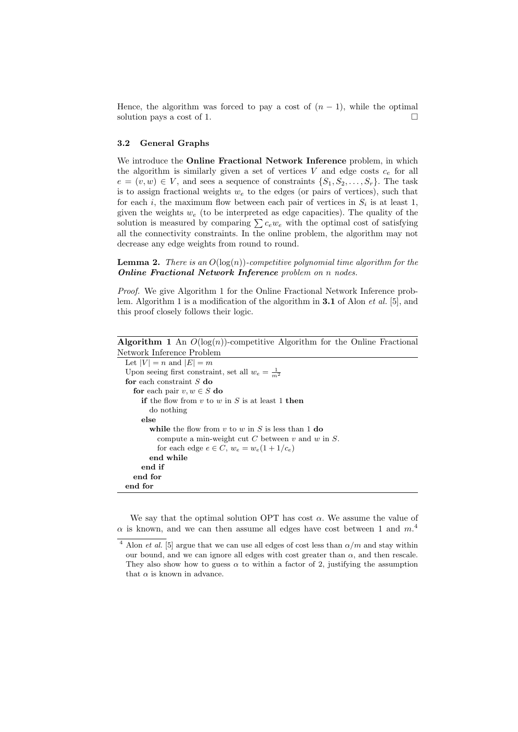Hence, the algorithm was forced to pay a cost of  $(n - 1)$ , while the optimal solution pays a cost of 1.  $\Box$ 

#### 3.2 General Graphs

We introduce the **Online Fractional Network Inference** problem, in which the algorithm is similarly given a set of vertices  $V$  and edge costs  $c_e$  for all  $e = (v, w) \in V$ , and sees a sequence of constraints  $\{S_1, S_2, \ldots, S_r\}$ . The task is to assign fractional weights  $w_e$  to the edges (or pairs of vertices), such that for each i, the maximum flow between each pair of vertices in  $S_i$  is at least 1, given the weights  $w_e$  (to be interpreted as edge capacities). The quality of the solution is measured by comparing  $\sum c_e w_e$  with the optimal cost of satisfying all the connectivity constraints. In the online problem, the algorithm may not decrease any edge weights from round to round.

**Lemma 2.** There is an  $O(\log(n))$ -competitive polynomial time algorithm for the Online Fractional Network Inference problem on n nodes.

Proof. We give Algorithm 1 for the Online Fractional Network Inference problem. Algorithm 1 is a modification of the algorithm in **3.1** of Alon *et al.* [5], and this proof closely follows their logic.

| <b>Algorithm 1</b> An $O(log(n))$ -competitive Algorithm for the Online Fractional |  |  |  |  |
|------------------------------------------------------------------------------------|--|--|--|--|
| Network Inference Problem                                                          |  |  |  |  |

| Let $ V  = n$ and $ E  = m$                                   |
|---------------------------------------------------------------|
| Upon seeing first constraint, set all $w_e = \frac{1}{m^2}$   |
| for each constraint $S$ do                                    |
| for each pair $v, w \in S$ do                                 |
| <b>if</b> the flow from v to w in S is at least 1 <b>then</b> |
| do nothing                                                    |
| else                                                          |
| while the flow from v to w in S is less than 1 do             |
| compute a min-weight cut C between $v$ and $w$ in $S$ .       |
| for each edge $e \in C$ , $w_e = w_e(1 + 1/c_e)$              |
| end while                                                     |
| end if                                                        |
| end for                                                       |
| end for                                                       |

We say that the optimal solution OPT has cost  $\alpha$ . We assume the value of  $\alpha$  is known, and we can then assume all edges have cost between 1 and  $m<sup>4</sup>$ 

<sup>&</sup>lt;sup>4</sup> Alon *et al.* [5] argue that we can use all edges of cost less than  $\alpha/m$  and stay within our bound, and we can ignore all edges with cost greater than  $\alpha$ , and then rescale. They also show how to guess  $\alpha$  to within a factor of 2, justifying the assumption that  $\alpha$  is known in advance.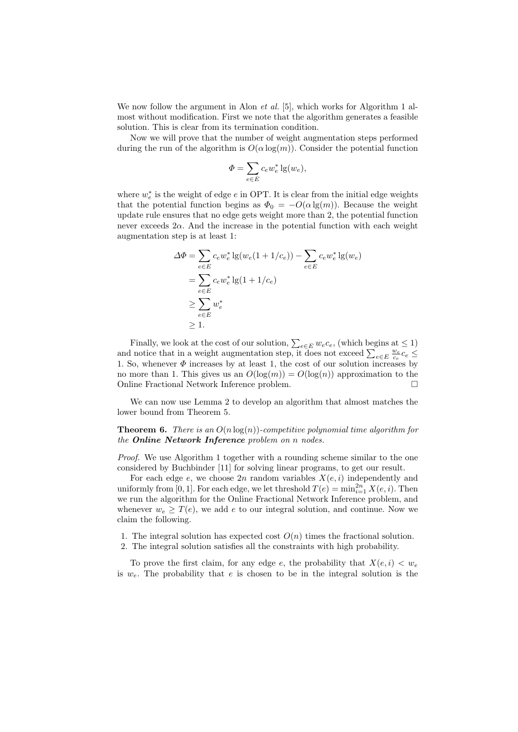We now follow the argument in Alon *et al.* [5], which works for Algorithm 1 almost without modification. First we note that the algorithm generates a feasible solution. This is clear from its termination condition.

Now we will prove that the number of weight augmentation steps performed during the run of the algorithm is  $O(\alpha \log(m))$ . Consider the potential function

$$
\Phi = \sum_{e \in E} c_e w_e^* \lg(w_e),
$$

where  $w_e^*$  is the weight of edge  $e$  in OPT. It is clear from the initial edge weights that the potential function begins as  $\Phi_0 = -O(\alpha \lg(m))$ . Because the weight update rule ensures that no edge gets weight more than 2, the potential function never exceeds  $2\alpha$ . And the increase in the potential function with each weight augmentation step is at least 1:

$$
\Delta \Phi = \sum_{e \in E} c_e w_e^* \lg(w_e (1 + 1/c_e)) - \sum_{e \in E} c_e w_e^* \lg(w_e)
$$
  
= 
$$
\sum_{e \in E} c_e w_e^* \lg(1 + 1/c_e)
$$
  

$$
\geq \sum_{e \in E} w_e^*
$$
  

$$
\geq 1.
$$

Finally, we look at the cost of our solution,  $\sum_{e \in E} w_e c_e$ , (which begins at  $\leq 1$ ) and notice that in a weight augmentation step, it does not exceed  $\sum_{e \in E} \frac{w_e}{c_e} c_e \leq$ 1. So, whenever  $\Phi$  increases by at least 1, the cost of our solution increases by no more than 1. This gives us an  $O(log(m)) = O(log(n))$  approximation to the Online Fractional Network Inference problem.

We can now use Lemma 2 to develop an algorithm that almost matches the lower bound from Theorem 5.

**Theorem 6.** There is an  $O(n \log(n))$ -competitive polynomial time algorithm for the Online Network Inference problem on n nodes.

Proof. We use Algorithm 1 together with a rounding scheme similar to the one considered by Buchbinder [11] for solving linear programs, to get our result.

For each edge  $e$ , we choose  $2n$  random variables  $X(e, i)$  independently and uniformly from [0, 1]. For each edge, we let threshold  $T(e) = \min_{i=1}^{2n} X(e, i)$ . Then we run the algorithm for the Online Fractional Network Inference problem, and whenever  $w_e \geq T(e)$ , we add e to our integral solution, and continue. Now we claim the following.

1. The integral solution has expected cost  $O(n)$  times the fractional solution.

2. The integral solution satisfies all the constraints with high probability.

To prove the first claim, for any edge e, the probability that  $X(e, i) < w_e$ is  $w_e$ . The probability that e is chosen to be in the integral solution is the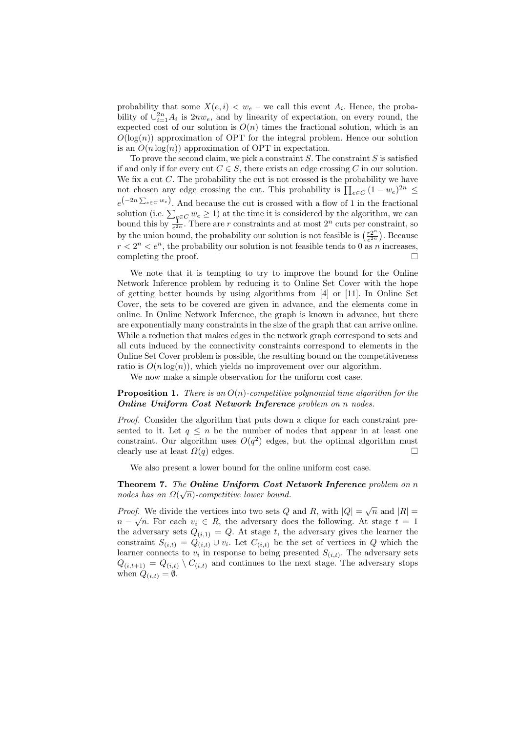probability that some  $X(e, i) < w_e$  – we call this event  $A_i$ . Hence, the probability of  $\cup_{i=1}^{2n} A_i$  is  $2nw_e$ , and by linearity of expectation, on every round, the expected cost of our solution is  $O(n)$  times the fractional solution, which is an  $O(\log(n))$  approximation of OPT for the integral problem. Hence our solution is an  $O(n \log(n))$  approximation of OPT in expectation.

To prove the second claim, we pick a constraint  $S$ . The constraint  $S$  is satisfied if and only if for every cut  $C \in S$ , there exists an edge crossing C in our solution. We fix a cut  $C$ . The probability the cut is not crossed is the probability we have not chosen any edge crossing the cut. This probability is  $\prod_{e \in C} (1 - w_e)^{2n} \le$  $e^{(-2n\sum_{e\in C}w_e)}$ . And because the cut is crossed with a flow of 1 in the fractional solution (i.e.  $\sum_{e \in C} w_e \ge 1$ ) at the time it is considered by the algorithm, we can bound this by  $\frac{1}{e^{2n}}$ . There are r constraints and at most  $2^n$  cuts per constraint, so by the union bound, the probability our solution is not feasible is  $\left(\frac{r2^n}{r2^n}\right)$  $\frac{r2^n}{e^{2n}}$ ). Because  $r < 2^n < e^n$ , the probability our solution is not feasible tends to 0 as n increases, completing the proof.  $\Box$ 

We note that it is tempting to try to improve the bound for the Online Network Inference problem by reducing it to Online Set Cover with the hope of getting better bounds by using algorithms from [4] or [11]. In Online Set Cover, the sets to be covered are given in advance, and the elements come in online. In Online Network Inference, the graph is known in advance, but there are exponentially many constraints in the size of the graph that can arrive online. While a reduction that makes edges in the network graph correspond to sets and all cuts induced by the connectivity constraints correspond to elements in the Online Set Cover problem is possible, the resulting bound on the competitiveness ratio is  $O(n \log(n))$ , which yields no improvement over our algorithm.

We now make a simple observation for the uniform cost case.

# **Proposition 1.** There is an  $O(n)$ -competitive polynomial time algorithm for the Online Uniform Cost Network Inference problem on n nodes.

Proof. Consider the algorithm that puts down a clique for each constraint presented to it. Let  $q \leq n$  be the number of nodes that appear in at least one constraint. Our algorithm uses  $O(q^2)$  edges, but the optimal algorithm must clearly use at least  $\Omega(q)$  edges.

We also present a lower bound for the online uniform cost case.

### **Theorem 7.** The **Online Uniform Cost Network Inference** problem on n nodes has an  $\Omega(\sqrt{n})$ -competitive lower bound.

*Proof.* We divide the vertices into two sets Q and R, with  $|Q| = \sqrt{n}$  and  $|R| = \sqrt{n}$  $n - \sqrt{n}$ . For each  $v_i \in R$ , the adversary does the following. At stage  $t = 1$ the adversary sets  $Q_{(i,1)} = Q$ . At stage t, the adversary gives the learner the constraint  $S_{(i,t)} = Q_{(i,t)} \cup v_i$ . Let  $C_{(i,t)}$  be the set of vertices in Q which the learner connects to  $v_i$  in response to being presented  $S_{(i,t)}$ . The adversary sets  $Q_{(i,t+1)} = Q_{(i,t)} \setminus C_{(i,t)}$  and continues to the next stage. The adversary stops when  $Q_{(i,t)} = \emptyset$ .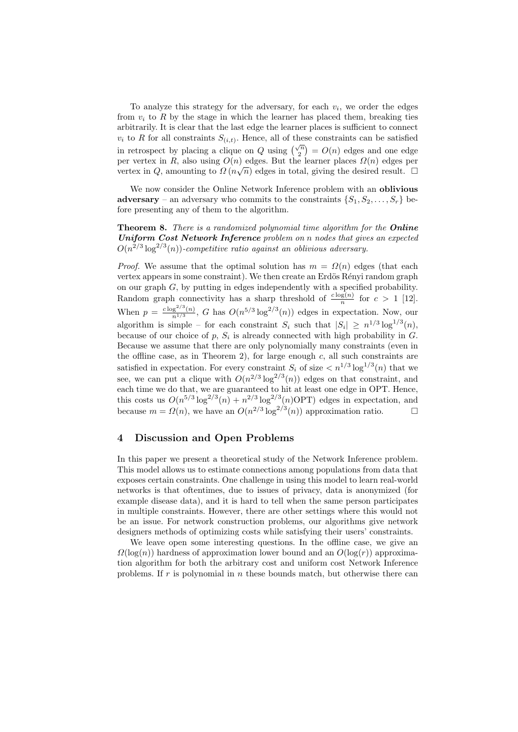To analyze this strategy for the adversary, for each  $v_i$ , we order the edges from  $v_i$  to R by the stage in which the learner has placed them, breaking ties arbitrarily. It is clear that the last edge the learner places is sufficient to connect  $v_i$  to R for all constraints  $S_{(i,t)}$ . Hence, all of these constraints can be satisfied in retrospect by placing a clique on Q using  $\binom{\sqrt{n}}{2} = O(n)$  edges and one edge per vertex in R, also using  $O(n)$  edges. But the learner places  $\Omega(n)$  edges per vertex in Q, amounting to  $\Omega(n\sqrt{n})$  edges in total, giving the desired result.  $\Box$ 

We now consider the Online Network Inference problem with an oblivious adversary – an adversary who commits to the constraints  $\{S_1, S_2, \ldots, S_r\}$  before presenting any of them to the algorithm.

Theorem 8. There is a randomized polynomial time algorithm for the Online Uniform Cost Network Inference problem on n nodes that gives an expected  $O(n^{2/3} \log^{2/3}(n))$ -competitive ratio against an oblivious adversary.

*Proof.* We assume that the optimal solution has  $m = \Omega(n)$  edges (that each vertex appears in some constraint). We then create an Erdös Rényi random graph on our graph  $G$ , by putting in edges independently with a specified probability. Random graph connectivity has a sharp threshold of  $\frac{c \log(n)}{n}$  for  $c > 1$  [12]. When  $p = \frac{c \log^{2/3}(n)}{n^{1/3}}$  $\frac{g^{2/3}(n)}{n^{1/3}}$ , G has  $O(n^{5/3} \log^{2/3}(n))$  edges in expectation. Now, our algorithm is simple – for each constraint  $S_i$  such that  $|S_i| \geq n^{1/3} \log^{1/3}(n)$ , because of our choice of  $p, S_i$  is already connected with high probability in  $G$ . Because we assume that there are only polynomially many constraints (even in the offline case, as in Theorem 2), for large enough  $c$ , all such constraints are satisfied in expectation. For every constraint  $S_i$  of size  $\langle n^{1/3} \log^{1/3}(n)$  that we see, we can put a clique with  $O(n^{2/3} \log^{2/3}(n))$  edges on that constraint, and each time we do that, we are guaranteed to hit at least one edge in OPT. Hence, this costs us  $O(n^{5/3} \log^{2/3}(n) + n^{2/3} \log^{2/3}(n)$ OPT) edges in expectation, and because  $m = \Omega(n)$ , we have an  $O(n^{2/3} \log^{2/3}(n))$  approximation ratio.

## 4 Discussion and Open Problems

In this paper we present a theoretical study of the Network Inference problem. This model allows us to estimate connections among populations from data that exposes certain constraints. One challenge in using this model to learn real-world networks is that oftentimes, due to issues of privacy, data is anonymized (for example disease data), and it is hard to tell when the same person participates in multiple constraints. However, there are other settings where this would not be an issue. For network construction problems, our algorithms give network designers methods of optimizing costs while satisfying their users' constraints.

We leave open some interesting questions. In the offline case, we give an  $\Omega(\log(n))$  hardness of approximation lower bound and an  $O(\log(r))$  approximation algorithm for both the arbitrary cost and uniform cost Network Inference problems. If r is polynomial in n these bounds match, but otherwise there can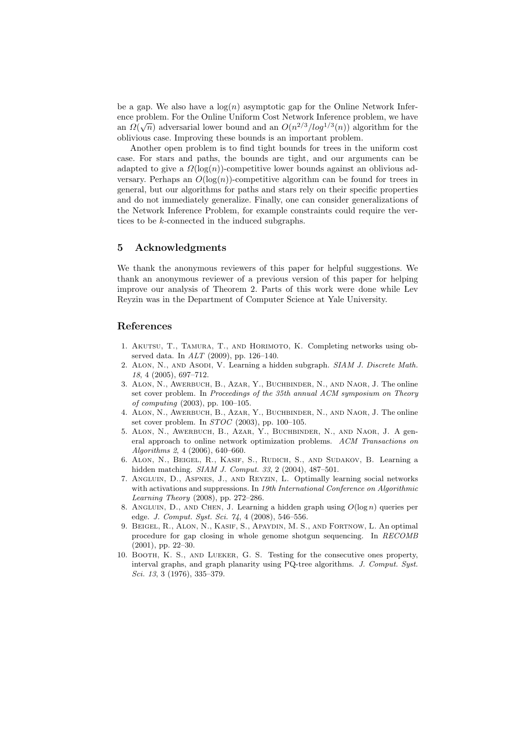be a gap. We also have a  $log(n)$  asymptotic gap for the Online Network Inference problem. For the Online Uniform Cost Network Inference problem, we have an  $\Omega(\sqrt{n})$  adversarial lower bound and an  $O(n^{2/3}/log^{1/3}(n))$  algorithm for the oblivious case. Improving these bounds is an important problem.

Another open problem is to find tight bounds for trees in the uniform cost case. For stars and paths, the bounds are tight, and our arguments can be adapted to give a  $\Omega(\log(n))$ -competitive lower bounds against an oblivious adversary. Perhaps an  $O(log(n))$ -competitive algorithm can be found for trees in general, but our algorithms for paths and stars rely on their specific properties and do not immediately generalize. Finally, one can consider generalizations of the Network Inference Problem, for example constraints could require the vertices to be k-connected in the induced subgraphs.

### 5 Acknowledgments

We thank the anonymous reviewers of this paper for helpful suggestions. We thank an anonymous reviewer of a previous version of this paper for helping improve our analysis of Theorem 2. Parts of this work were done while Lev Reyzin was in the Department of Computer Science at Yale University.

# References

- 1. Akutsu, T., Tamura, T., and Horimoto, K. Completing networks using observed data. In ALT (2009), pp. 126–140.
- 2. Alon, N., and Asodi, V. Learning a hidden subgraph. SIAM J. Discrete Math. 18, 4 (2005), 697–712.
- 3. Alon, N., Awerbuch, B., Azar, Y., Buchbinder, N., and Naor, J. The online set cover problem. In Proceedings of the 35th annual ACM symposium on Theory of computing (2003), pp. 100–105.
- 4. Alon, N., Awerbuch, B., Azar, Y., Buchbinder, N., and Naor, J. The online set cover problem. In STOC (2003), pp. 100–105.
- 5. Alon, N., Awerbuch, B., Azar, Y., Buchbinder, N., and Naor, J. A general approach to online network optimization problems. ACM Transactions on Algorithms 2, 4 (2006), 640–660.
- 6. Alon, N., Beigel, R., Kasif, S., Rudich, S., and Sudakov, B. Learning a hidden matching. SIAM J. Comput. 33, 2 (2004), 487–501.
- 7. Angluin, D., Aspnes, J., and Reyzin, L. Optimally learning social networks with activations and suppressions. In 19th International Conference on Algorithmic Learning Theory (2008), pp. 272–286.
- 8. ANGLUIN, D., AND CHEN, J. Learning a hidden graph using  $O(\log n)$  queries per edge. J. Comput. Syst. Sci. 74, 4 (2008), 546–556.
- 9. Beigel, R., Alon, N., Kasif, S., Apaydin, M. S., and Fortnow, L. An optimal procedure for gap closing in whole genome shotgun sequencing. In RECOMB (2001), pp. 22–30.
- 10. Booth, K. S., and Lueker, G. S. Testing for the consecutive ones property, interval graphs, and graph planarity using PQ-tree algorithms. J. Comput. Syst. Sci. 13, 3 (1976), 335-379.